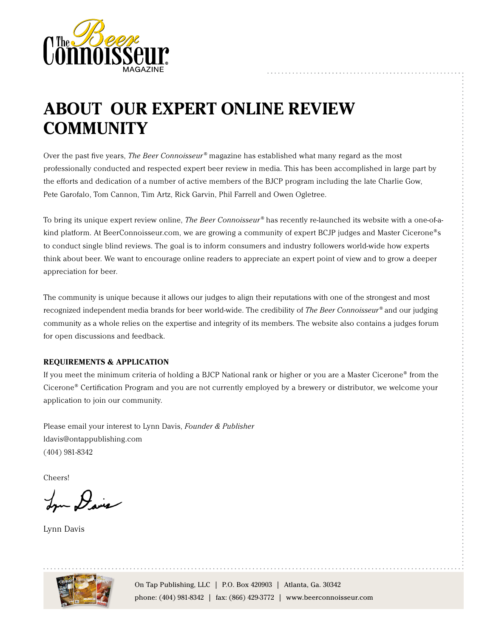

## **ABOUT OUR EXPERT ONLINE REVIEW COMMUNITY**

Over the past five years, *The Beer Connoisseur®* magazine has established what many regard as the most professionally conducted and respected expert beer review in media. This has been accomplished in large part by the efforts and dedication of a number of active members of the BJCP program including the late Charlie Gow, Pete Garofalo, Tom Cannon, Tim Artz, Rick Garvin, Phil Farrell and Owen Ogletree.

To bring its unique expert review online, *The Beer Connoisseur®* has recently re-launched its website with a one-of-akind platform. At BeerConnoisseur.com, we are growing a community of expert BCJP judges and Master Cicerone<sup>®</sup>s to conduct single blind reviews. The goal is to inform consumers and industry followers world-wide how experts think about beer. We want to encourage online readers to appreciate an expert point of view and to grow a deeper appreciation for beer.

The community is unique because it allows our judges to align their reputations with one of the strongest and most recognized independent media brands for beer world-wide. The credibility of *The Beer Connoisseur®* and our judging community as a whole relies on the expertise and integrity of its members. The website also contains a judges forum for open discussions and feedback.

#### **REQUIREMENTS & APPLICATION**

If you meet the minimum criteria of holding a BJCP National rank or higher or you are a Master Cicerone® from the Cicerone® Certification Program and you are not currently employed by a brewery or distributor, we welcome your application to join our community.

Please email your interest to Lynn Davis, *Founder & Publisher* ldavis@ontappublishing.com (404) 981-8342

Cheers!

Lyn Davis

Lynn Davis

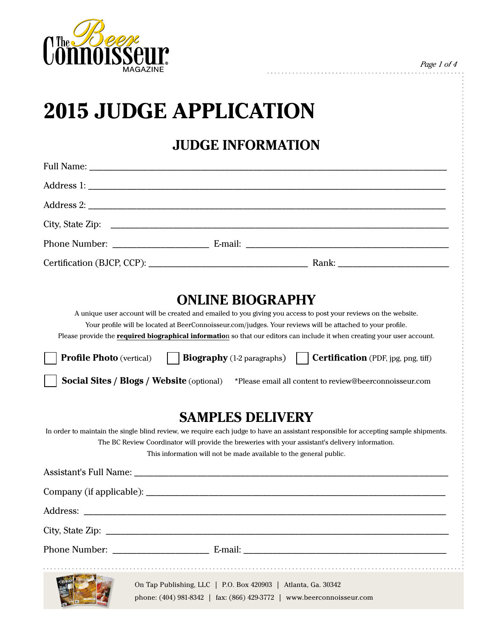

*Page 1 of 4*

# **2015 JUDGE APPLICATION**

**JUDGE INFORMATION**

|                                 | <b>ONLINE BIOGRAPHY</b>                                                                                                                                                                                                                                                                                                                                   |
|---------------------------------|-----------------------------------------------------------------------------------------------------------------------------------------------------------------------------------------------------------------------------------------------------------------------------------------------------------------------------------------------------------|
|                                 | A unique user account will be created and emailed to you giving you access to post your reviews on the website.<br>Your profile will be located at BeerConnoisseur.com/judges. Your reviews will be attached to your profile.<br>Please provide the required biographical information so that our editors can include it when creating your user account. |
| <b>Profile Photo</b> (vertical) | <b>Biography</b> (1-2 paragraphs) $\vert$ <b>Certification</b> (PDF, jpg, png, tiff)                                                                                                                                                                                                                                                                      |
|                                 | <b>Social Sites / Blogs / Website</b> (optional) *Please email all content to review@beerconnoisseur.com                                                                                                                                                                                                                                                  |
|                                 | <b>SAMPLES DELIVERY</b>                                                                                                                                                                                                                                                                                                                                   |
|                                 | In order to maintain the single blind review, we require each judge to have an assistant responsible for accepting sample shipments.<br>The BC Review Coordinator will provide the breweries with your assistant's delivery information.<br>This information will not be made available to the general public.                                            |
|                                 | Assistant's Full Name: Name and South Assistant's Full Name:                                                                                                                                                                                                                                                                                              |
|                                 |                                                                                                                                                                                                                                                                                                                                                           |
| Address:                        |                                                                                                                                                                                                                                                                                                                                                           |
| City, State Zip:                | <u> 2008 - Jan James James Barnett, amerikan basal dan personal dan personal dan personal dan personal dan personal dan personal dan personal dan personal dan personal dan personal dan personal dan personal dan personal dan </u>                                                                                                                      |
|                                 |                                                                                                                                                                                                                                                                                                                                                           |
|                                 |                                                                                                                                                                                                                                                                                                                                                           |
|                                 | On Tap Publishing, LLC   P.O. Box 420903   Atlanta, Ga. 30342<br>phone: (404) 981-8342   fax: (866) 429-3772   www.beerconnoisseur.com                                                                                                                                                                                                                    |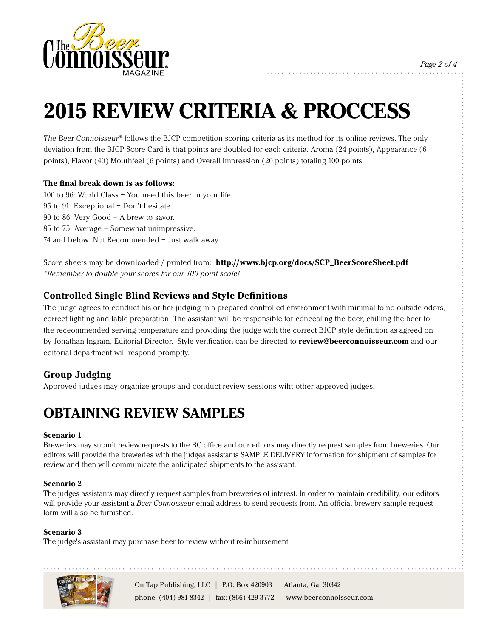

*Page 2 of 4*

# **2015 REVIEW CRITERIA & PROCCESS**

The Beer Connoisseur® follows the BJCP competition scoring criteria as its method for its online reviews. The only deviation from the BJCP Score Card is that points are doubled for each criteria. Aroma (24 points), Appearance (6 points), Flavor (40) Mouthfeel (6 points) and Overall Impression (20 points) totaling 100 points.

#### **The final break down is as follows:**

100 to 96: World Class – You need this beer in your life. 95 to 91: Exceptional – Don't hesitate. 90 to 86: Very Good – A brew to savor. 85 to 75: Average – Somewhat unimpressive. 74 and below: Not Recommended – Just walk away.

Score sheets may be downloaded / printed from: **http://www.bjcp.org/docs/SCP\_BeerScoreSheet.pdf** *\*Remember to double your scores for our 100 point scale!*

#### **Controlled Single Blind Reviews and Style Definitions**

The judge agrees to conduct his or her judging in a prepared controlled environment with minimal to no outside odors, correct lighting and table preparation. The assistant will be responsible for concealing the beer, chilling the beer to the receommended serving temperature and providing the judge with the correct BJCP style definition as agreed on by Jonathan Ingram, Editorial Director. Style verification can be directed to **review@beerconnoisseur.com** and our editorial department will respond promptly.

#### **Group Judging**

Approved judges may organize groups and conduct review sessions wiht other approved judges.

### **OBTAINING REVIEW SAMPLES**

#### **Scenario 1**

Breweries may submit review requests to the BC office and our editors may directly request samples from breweries. Our editors will provide the breweries with the judges assistants SAMPLE DELIVERY information for shipment of samples for review and then will communicate the anticipated shipments to the assistant.

#### **Scenario 2**

The judges assistants may directly request samples from breweries of interest. In order to maintain credibility, our editors will provide your assistant a *Beer Connoisseur* email address to send requests from. An official brewery sample request form will also be furnished.

#### **Scenario 3**

The judge's assistant may purchase beer to review without re-imbursement.

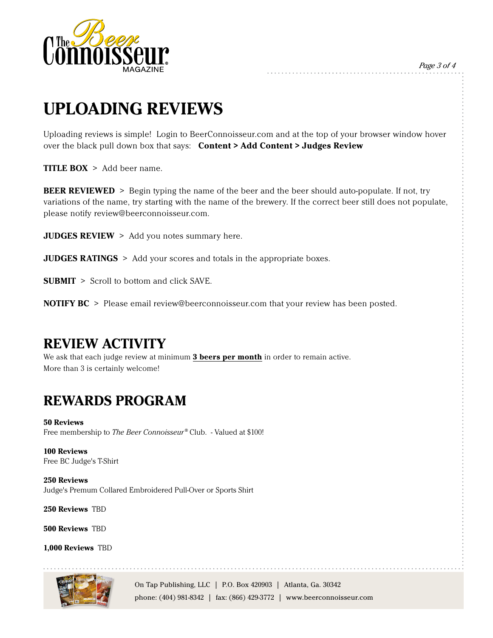

*Page 3 of 4*

## **UPLOADING REVIEWS**

Uploading reviews is simple! Login to BeerConnoisseur.com and at the top of your browser window hover over the black pull down box that says: **Content > Add Content > Judges Review**

**TITLE BOX** > Add beer name.

**BEER REVIEWED** > Begin typing the name of the beer and the beer should auto-populate. If not, try variations of the name, try starting with the name of the brewery. If the correct beer still does not populate, please notify review@beerconnoisseur.com.

**JUDGES REVIEW** > Add you notes summary here.

**JUDGES RATINGS** > Add your scores and totals in the appropriate boxes.

**SUBMIT** > Scroll to bottom and click SAVE.

**NOTIFY BC** > Please email review@beerconnoisseur.com that your review has been posted.

### **REVIEW ACTIVITY**

We ask that each judge review at minimum **3 beers per month** in order to remain active. More than 3 is certainly welcome!

### **REWARDS PROGRAM**

**50 Reviews** Free membership to *The Beer Connoisseur®* Club. - Valued at \$100!

**100 Reviews** Free BC Judge's T-Shirt

**250 Reviews**  Judge's Premum Collared Embroidered Pull-Over or Sports Shirt

**250 Reviews** TBD

**500 Reviews** TBD

**1,000 Reviews** TBD